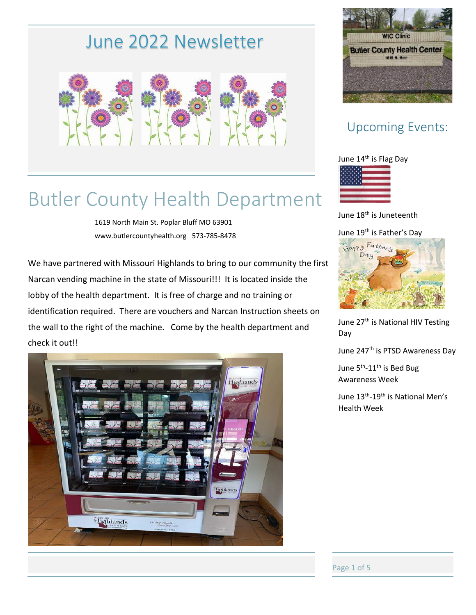# June 2022 Newsletter



# Butler County Health Department

 1619 North Main St. Poplar Bluff MO 63901 www.butlercountyhealth.org 573-785-8478

We have partnered with Missouri Highlands to bring to our community the first Narcan vending machine in the state of Missouri!!! It is located inside the lobby of the health department. It is free of charge and no training or identification required. There are vouchers and Narcan Instruction sheets on the wall to the right of the machine. Come by the health department and check it out!!





# Upcoming Events:

#### June 14<sup>th</sup> is Flag Day



June 18<sup>th</sup> is Juneteenth

#### June 19<sup>th</sup> is Father's Day



June 27<sup>th</sup> is National HIV Testing Day

June 247<sup>th</sup> is PTSD Awareness Day

June 5<sup>th</sup>-11<sup>th</sup> is Bed Bug Awareness Week

June 13<sup>th</sup>-19<sup>th</sup> is National Men's Health Week

Page 1 of 5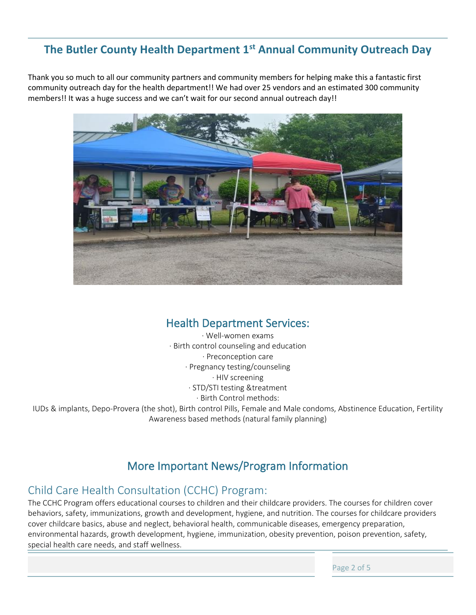## **The Butler County Health Department 1st Annual Community Outreach Day**

Thank you so much to all our community partners and community members for helping make this a fantastic first community outreach day for the health department!! We had over 25 vendors and an estimated 300 community members!! It was a huge success and we can't wait for our second annual outreach day!!



#### Health Department Services:

· Well-women exams · Birth control counseling and education · Preconception care · Pregnancy testing/counseling · HIV screening · STD/STI testing &treatment · Birth Control methods:

IUDs & implants, Depo-Provera (the shot), Birth control Pills, Female and Male condoms, Abstinence Education, Fertility Awareness based methods (natural family planning)

## More Important News/Program Information

### Child Care Health Consultation (CCHC) Program:

The CCHC Program offers educational courses to children and their childcare providers. The courses for children cover behaviors, safety, immunizations, growth and development, hygiene, and nutrition. The courses for childcare providers cover childcare basics, abuse and neglect, behavioral health, communicable diseases, emergency preparation, environmental hazards, growth development, hygiene, immunization, obesity prevention, poison prevention, safety, special health care needs, and staff wellness.

Page 2 of 5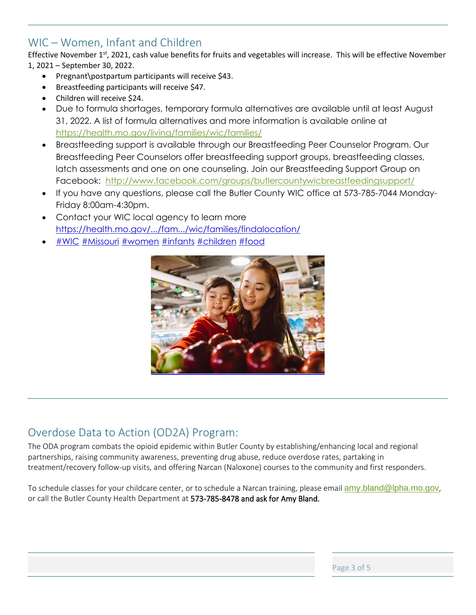### WIC – Women, Infant and Children

Effective November 1st, 2021, cash value benefits for fruits and vegetables will increase. This will be effective November 1, 2021 – September 30, 2022.

- Pregnant\postpartum participants will receive \$43.
- Breastfeeding participants will receive \$47.
- Children will receive \$24.
- Due to formula shortages, temporary formula alternatives are available until at least August 31, 2022. A list of formula alternatives and more information is available online at <https://health.mo.gov/living/families/wic/families/>
- Breastfeeding support is available through our Breastfeeding Peer Counselor Program. Our Breastfeeding Peer Counselors offer breastfeeding support groups, breastfeeding classes, latch assessments and one on one counseling. Join our Breastfeeding Support Group on Facebook: <http://www.facebook.com/groups/butlercountywicbreastfeedingsupport/>
- If you have any questions, please call the Butler County WIC office at 573-785-7044 Monday-Friday 8:00am-4:30pm.
- Contact your WIC local agency to learn more [https://health.mo.gov/.../fam.../wic/families/findalocation/](https://health.mo.gov/living/families/wic/families/findalocation/?fbclid=IwAR1uDcH5j5fyax-VdHx9pEyokgDyG8d4D67cnK55pYTMTmulLipykd-nH4E)
- [#WIC](https://www.facebook.com/hashtag/wic?__eep__=6&__cft__%5b0%5d=AZWH9pzcKFtXqSPBzRpo8jAzZ7w42UfvYaGEjmj0FoD6L9ASYe0j7joB9QZt7gBwy-oJrSx_hlLmHMGtlmP0dQRIdKCFPSjuReG1TnVJumHieblU-_2m7-tCjo5iuwZAVeNw1cuMWtH7Ems3G1wC_qto&__tn__=*NK-R) [#Missouri](https://www.facebook.com/hashtag/missouri?__eep__=6&__cft__%5b0%5d=AZWH9pzcKFtXqSPBzRpo8jAzZ7w42UfvYaGEjmj0FoD6L9ASYe0j7joB9QZt7gBwy-oJrSx_hlLmHMGtlmP0dQRIdKCFPSjuReG1TnVJumHieblU-_2m7-tCjo5iuwZAVeNw1cuMWtH7Ems3G1wC_qto&__tn__=*NK-R) [#women](https://www.facebook.com/hashtag/women?__eep__=6&__cft__%5b0%5d=AZWH9pzcKFtXqSPBzRpo8jAzZ7w42UfvYaGEjmj0FoD6L9ASYe0j7joB9QZt7gBwy-oJrSx_hlLmHMGtlmP0dQRIdKCFPSjuReG1TnVJumHieblU-_2m7-tCjo5iuwZAVeNw1cuMWtH7Ems3G1wC_qto&__tn__=*NK-R) [#infants](https://www.facebook.com/hashtag/infants?__eep__=6&__cft__%5b0%5d=AZWH9pzcKFtXqSPBzRpo8jAzZ7w42UfvYaGEjmj0FoD6L9ASYe0j7joB9QZt7gBwy-oJrSx_hlLmHMGtlmP0dQRIdKCFPSjuReG1TnVJumHieblU-_2m7-tCjo5iuwZAVeNw1cuMWtH7Ems3G1wC_qto&__tn__=*NK-R) [#children](https://www.facebook.com/hashtag/children?__eep__=6&__cft__%5b0%5d=AZWH9pzcKFtXqSPBzRpo8jAzZ7w42UfvYaGEjmj0FoD6L9ASYe0j7joB9QZt7gBwy-oJrSx_hlLmHMGtlmP0dQRIdKCFPSjuReG1TnVJumHieblU-_2m7-tCjo5iuwZAVeNw1cuMWtH7Ems3G1wC_qto&__tn__=*NK-R) [#food](https://www.facebook.com/hashtag/food?__eep__=6&__cft__%5b0%5d=AZWH9pzcKFtXqSPBzRpo8jAzZ7w42UfvYaGEjmj0FoD6L9ASYe0j7joB9QZt7gBwy-oJrSx_hlLmHMGtlmP0dQRIdKCFPSjuReG1TnVJumHieblU-_2m7-tCjo5iuwZAVeNw1cuMWtH7Ems3G1wC_qto&__tn__=*NK-R)



# Overdose Data to Action (OD2A) Program:

The ODA program combats the opioid epidemic within Butler County by establishing/enhancing local and regional partnerships, raising community awareness, preventing drug abuse, reduce overdose rates, partaking in treatment/recovery follow-up visits, and offering Narcan (Naloxone) courses to the community and first responders.

To schedule classes for your childcare center, or to schedule a Narcan training, please email [amy.bland@lpha.mo.gov](mailto:amy.bland@lpha.mo.gov), or call the Butler County Health Department at 573-785-8478 and ask for Amy Bland.

| Page 3 of 5 |  |  |
|-------------|--|--|
|             |  |  |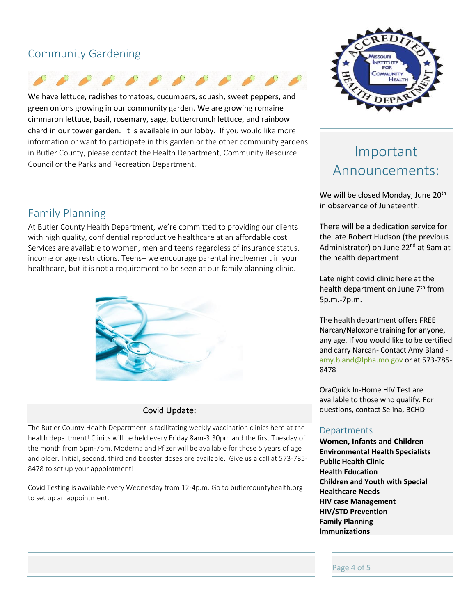### Community Gardening



We have lettuce, radishes tomatoes, cucumbers, squash, sweet peppers, and green onions growing in our community garden. We are growing romaine cimmaron lettuce, basil, rosemary, sage, buttercrunch lettuce, and rainbow chard in our tower garden. It is available in our lobby. If you would like more information or want to participate in this garden or the other community gardens in Butler County, please contact the Health Department, Community Resource Council or the Parks and Recreation Department.

### Family Planning

At Butler County Health Department, we're committed to providing our clients with high quality, confidential reproductive healthcare at an affordable cost. Services are available to women, men and teens regardless of insurance status, income or age restrictions. Teens– we encourage parental involvement in your healthcare, but it is not a requirement to be seen at our family planning clinic.



#### Covid Update:

The Butler County Health Department is facilitating weekly vaccination clinics here at the health department! Clinics will be held every Friday 8am-3:30pm and the first Tuesday of the month from 5pm-7pm. Moderna and Pfizer will be available for those 5 years of age and older. Initial, second, third and booster doses are available. Give us a call at 573-785- 8478 to set up your appointment!

Covid Testing is available every Wednesday from 12-4p.m. Go to butlercountyhealth.org to set up an appointment.



# Important Announcements:

We will be closed Monday, June 20<sup>th</sup> in observance of Juneteenth.

There will be a dedication service for the late Robert Hudson (the previous Administrator) on June 22<sup>nd</sup> at 9am at the health department.

Late night covid clinic here at the health department on June 7<sup>th</sup> from 5p.m.-7p.m.

The health department offers FREE Narcan/Naloxone training for anyone, any age. If you would like to be certified and carry Narcan- Contact Amy Bland [amy.bland@lpha.mo.gov](mailto:amy.bland@lpha.mo.gov) or at 573-785- 8478

OraQuick In-Home HIV Test are available to those who qualify. For questions, contact Selina, BCHD

#### **Departments**

**Women, Infants and Children Environmental Health Specialists Public Health Clinic Health Education Children and Youth with Special Healthcare Needs HIV case Management HIV/STD Prevention Family Planning Immunizations**

#### Page 4 of 5